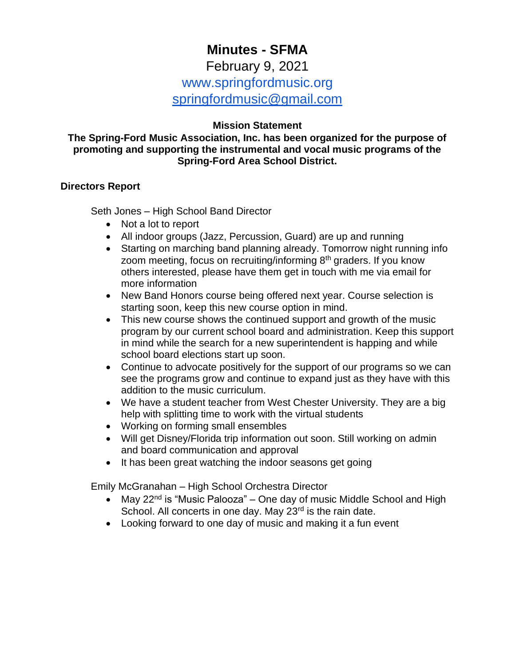# **Minutes - SFMA**

## February 9, 2021 www.springfordmusic.org [springfordmusic@gmail.com](mailto:springfordmusic@gmail.com)

#### **Mission Statement**

#### **The Spring-Ford Music Association, Inc. has been organized for the purpose of promoting and supporting the instrumental and vocal music programs of the Spring-Ford Area School District.**

#### **Directors Report**

Seth Jones – High School Band Director

- Not a lot to report
- All indoor groups (Jazz, Percussion, Guard) are up and running
- Starting on marching band planning already. Tomorrow night running info zoom meeting, focus on recruiting/informing  $8<sup>th</sup>$  graders. If you know others interested, please have them get in touch with me via email for more information
- New Band Honors course being offered next year. Course selection is starting soon, keep this new course option in mind.
- This new course shows the continued support and growth of the music program by our current school board and administration. Keep this support in mind while the search for a new superintendent is happing and while school board elections start up soon.
- Continue to advocate positively for the support of our programs so we can see the programs grow and continue to expand just as they have with this addition to the music curriculum.
- We have a student teacher from West Chester University. They are a big help with splitting time to work with the virtual students
- Working on forming small ensembles
- Will get Disney/Florida trip information out soon. Still working on admin and board communication and approval
- It has been great watching the indoor seasons get going

Emily McGranahan – High School Orchestra Director

- May  $22^{nd}$  is "Music Palooza" One day of music Middle School and High School. All concerts in one day. May 23<sup>rd</sup> is the rain date.
- Looking forward to one day of music and making it a fun event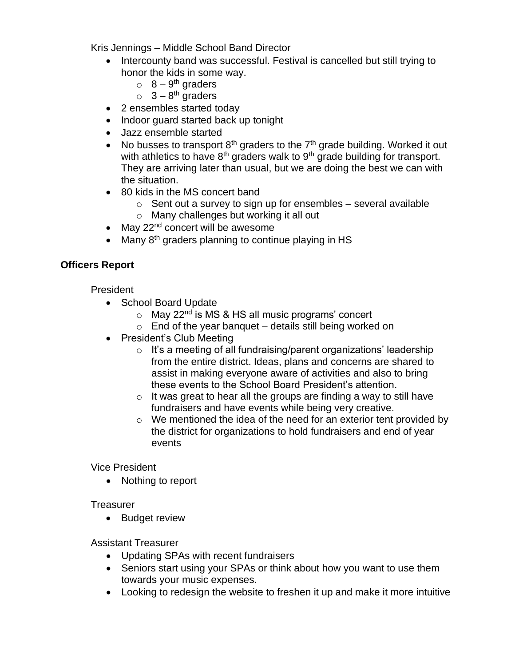Kris Jennings – Middle School Band Director

- Intercounty band was successful. Festival is cancelled but still trying to honor the kids in some way.
	- $\circ$  8 9<sup>th</sup> graders
	- $\circ$  3 8<sup>th</sup> graders
- 2 ensembles started today
- Indoor guard started back up tonight
- Jazz ensemble started
- No busses to transport  $8<sup>th</sup>$  graders to the  $7<sup>th</sup>$  grade building. Worked it out with athletics to have  $8<sup>th</sup>$  graders walk to  $9<sup>th</sup>$  grade building for transport. They are arriving later than usual, but we are doing the best we can with the situation.
- 80 kids in the MS concert band
	- $\circ$  Sent out a survey to sign up for ensembles several available
	- o Many challenges but working it all out
- May  $22<sup>nd</sup>$  concert will be awesome
- Many 8<sup>th</sup> graders planning to continue playing in HS

### **Officers Report**

President

- School Board Update
	- $\circ$  May 22<sup>nd</sup> is MS & HS all music programs' concert
	- $\circ$  End of the year banquet details still being worked on
- President's Club Meeting
	- $\circ$  It's a meeting of all fundraising/parent organizations' leadership from the entire district. Ideas, plans and concerns are shared to assist in making everyone aware of activities and also to bring these events to the School Board President's attention.
	- $\circ$  It was great to hear all the groups are finding a way to still have fundraisers and have events while being very creative.
	- o We mentioned the idea of the need for an exterior tent provided by the district for organizations to hold fundraisers and end of year events

Vice President

• Nothing to report

#### **Treasurer**

• Budget review

Assistant Treasurer

- Updating SPAs with recent fundraisers
- Seniors start using your SPAs or think about how you want to use them towards your music expenses.
- Looking to redesign the website to freshen it up and make it more intuitive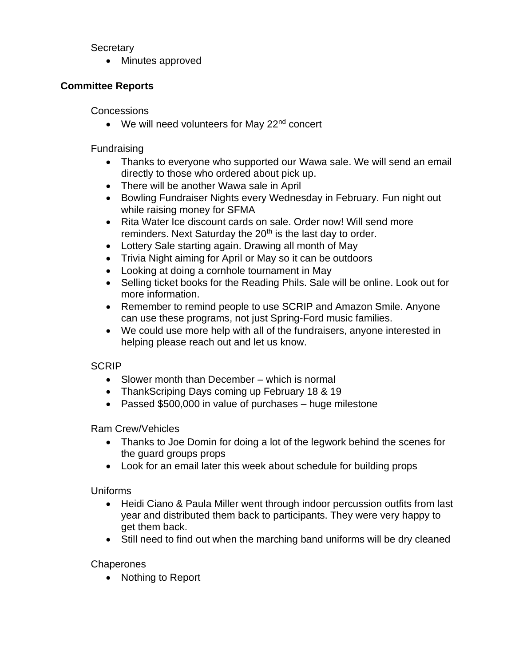#### **Secretary**

• Minutes approved

## **Committee Reports**

**Concessions** 

• We will need volunteers for May 22<sup>nd</sup> concert

Fundraising

- Thanks to everyone who supported our Wawa sale. We will send an email directly to those who ordered about pick up.
- There will be another Wawa sale in April
- Bowling Fundraiser Nights every Wednesday in February. Fun night out while raising money for SFMA
- Rita Water Ice discount cards on sale. Order now! Will send more reminders. Next Saturday the 20<sup>th</sup> is the last day to order.
- Lottery Sale starting again. Drawing all month of May
- Trivia Night aiming for April or May so it can be outdoors
- Looking at doing a cornhole tournament in May
- Selling ticket books for the Reading Phils. Sale will be online. Look out for more information.
- Remember to remind people to use SCRIP and Amazon Smile. Anyone can use these programs, not just Spring-Ford music families.
- We could use more help with all of the fundraisers, anyone interested in helping please reach out and let us know.

## **SCRIP**

- Slower month than December which is normal
- ThankScriping Days coming up February 18 & 19
- Passed \$500,000 in value of purchases huge milestone

Ram Crew/Vehicles

- Thanks to Joe Domin for doing a lot of the legwork behind the scenes for the guard groups props
- Look for an email later this week about schedule for building props

Uniforms

- Heidi Ciano & Paula Miller went through indoor percussion outfits from last year and distributed them back to participants. They were very happy to get them back.
- Still need to find out when the marching band uniforms will be dry cleaned

**Chaperones** 

• Nothing to Report